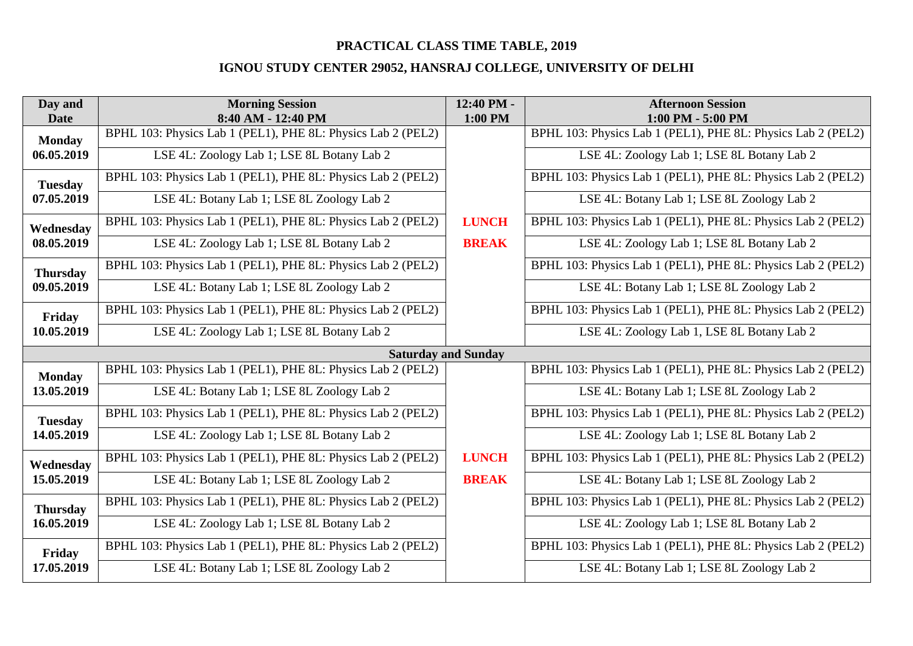| Day and<br><b>Date</b>       | <b>Morning Session</b><br>8:40 AM - 12:40 PM                 | 12:40 PM -<br>1:00 PM | <b>Afternoon Session</b><br>1:00 PM - 5:00 PM                |
|------------------------------|--------------------------------------------------------------|-----------------------|--------------------------------------------------------------|
| <b>Monday</b>                | BPHL 103: Physics Lab 1 (PEL1), PHE 8L: Physics Lab 2 (PEL2) |                       | BPHL 103: Physics Lab 1 (PEL1), PHE 8L: Physics Lab 2 (PEL2) |
| 06.05.2019                   | LSE 4L: Zoology Lab 1; LSE 8L Botany Lab 2                   |                       | LSE 4L: Zoology Lab 1; LSE 8L Botany Lab 2                   |
| <b>Tuesday</b><br>07.05.2019 | BPHL 103: Physics Lab 1 (PEL1), PHE 8L: Physics Lab 2 (PEL2) |                       | BPHL 103: Physics Lab 1 (PEL1), PHE 8L: Physics Lab 2 (PEL2) |
|                              | LSE 4L: Botany Lab 1; LSE 8L Zoology Lab 2                   |                       | LSE 4L: Botany Lab 1; LSE 8L Zoology Lab 2                   |
| Wednesday                    | BPHL 103: Physics Lab 1 (PEL1), PHE 8L: Physics Lab 2 (PEL2) | <b>LUNCH</b>          | BPHL 103: Physics Lab 1 (PEL1), PHE 8L: Physics Lab 2 (PEL2) |
| 08.05.2019                   | LSE 4L: Zoology Lab 1; LSE 8L Botany Lab 2                   | <b>BREAK</b>          | LSE 4L: Zoology Lab 1; LSE 8L Botany Lab 2                   |
| <b>Thursday</b>              | BPHL 103: Physics Lab 1 (PEL1), PHE 8L: Physics Lab 2 (PEL2) |                       | BPHL 103: Physics Lab 1 (PEL1), PHE 8L: Physics Lab 2 (PEL2) |
| 09.05.2019                   | LSE 4L: Botany Lab 1; LSE 8L Zoology Lab 2                   |                       | LSE 4L: Botany Lab 1; LSE 8L Zoology Lab 2                   |
| Friday                       | BPHL 103: Physics Lab 1 (PEL1), PHE 8L: Physics Lab 2 (PEL2) |                       | BPHL 103: Physics Lab 1 (PEL1), PHE 8L: Physics Lab 2 (PEL2) |
| 10.05.2019                   | LSE 4L: Zoology Lab 1; LSE 8L Botany Lab 2                   |                       | LSE 4L: Zoology Lab 1, LSE 8L Botany Lab 2                   |
| <b>Saturday and Sunday</b>   |                                                              |                       |                                                              |
| <b>Monday</b>                | BPHL 103: Physics Lab 1 (PEL1), PHE 8L: Physics Lab 2 (PEL2) |                       | BPHL 103: Physics Lab 1 (PEL1), PHE 8L: Physics Lab 2 (PEL2) |
| 13.05.2019                   | LSE 4L: Botany Lab 1; LSE 8L Zoology Lab 2                   |                       | LSE 4L: Botany Lab 1; LSE 8L Zoology Lab 2                   |
| <b>Tuesday</b>               | BPHL 103: Physics Lab 1 (PEL1), PHE 8L: Physics Lab 2 (PEL2) |                       | BPHL 103: Physics Lab 1 (PEL1), PHE 8L: Physics Lab 2 (PEL2) |
| 14.05.2019                   | LSE 4L: Zoology Lab 1; LSE 8L Botany Lab 2                   |                       | LSE 4L: Zoology Lab 1; LSE 8L Botany Lab 2                   |
| Wednesday                    | BPHL 103: Physics Lab 1 (PEL1), PHE 8L: Physics Lab 2 (PEL2) | <b>LUNCH</b>          | BPHL 103: Physics Lab 1 (PEL1), PHE 8L: Physics Lab 2 (PEL2) |
| 15.05.2019                   | LSE 4L: Botany Lab 1; LSE 8L Zoology Lab 2                   | <b>BREAK</b>          | LSE 4L: Botany Lab 1; LSE 8L Zoology Lab 2                   |
| <b>Thursday</b>              | BPHL 103: Physics Lab 1 (PEL1), PHE 8L: Physics Lab 2 (PEL2) |                       | BPHL 103: Physics Lab 1 (PEL1), PHE 8L: Physics Lab 2 (PEL2) |
| 16.05.2019                   | LSE 4L: Zoology Lab 1; LSE 8L Botany Lab 2                   |                       | LSE 4L: Zoology Lab 1; LSE 8L Botany Lab 2                   |
| Friday                       | BPHL 103: Physics Lab 1 (PEL1), PHE 8L: Physics Lab 2 (PEL2) |                       | BPHL 103: Physics Lab 1 (PEL1), PHE 8L: Physics Lab 2 (PEL2) |
| 17.05.2019                   | LSE 4L: Botany Lab 1; LSE 8L Zoology Lab 2                   |                       | LSE 4L: Botany Lab 1; LSE 8L Zoology Lab 2                   |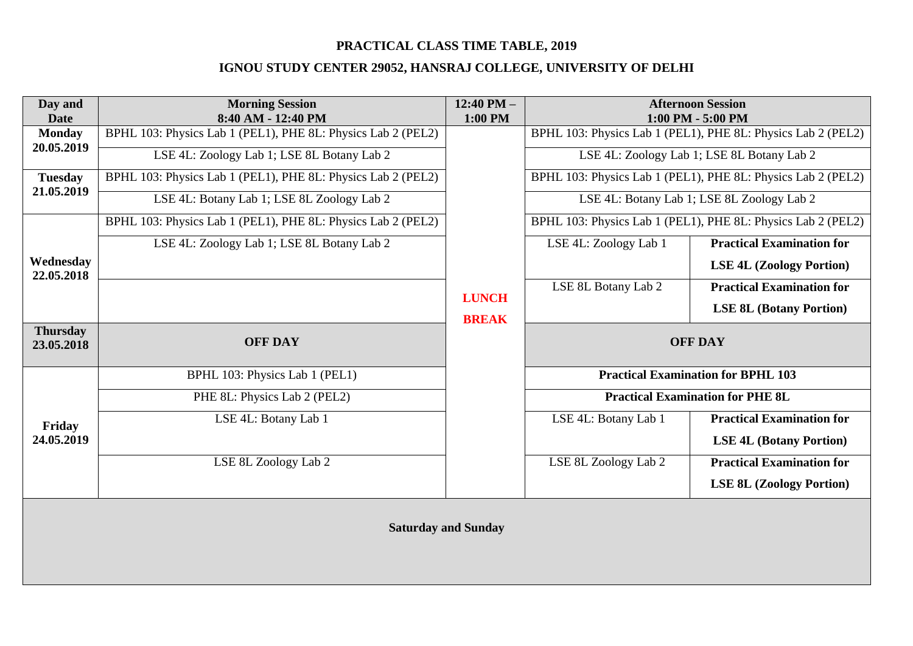| Day and<br><b>Date</b>                     | <b>Morning Session</b><br>8:40 AM - 12:40 PM                 | 12:40 PM $-$<br>1:00 PM      |                                           | <b>Afternoon Session</b><br>1:00 PM - 5:00 PM                |
|--------------------------------------------|--------------------------------------------------------------|------------------------------|-------------------------------------------|--------------------------------------------------------------|
| <b>Monday</b>                              | BPHL 103: Physics Lab 1 (PEL1), PHE 8L: Physics Lab 2 (PEL2) | <b>LUNCH</b><br><b>BREAK</b> |                                           | BPHL 103: Physics Lab 1 (PEL1), PHE 8L: Physics Lab 2 (PEL2) |
| 20.05.2019<br><b>Tuesday</b><br>21.05.2019 | LSE 4L: Zoology Lab 1; LSE 8L Botany Lab 2                   |                              |                                           | LSE 4L: Zoology Lab 1; LSE 8L Botany Lab 2                   |
|                                            | BPHL 103: Physics Lab 1 (PEL1), PHE 8L: Physics Lab 2 (PEL2) |                              |                                           | BPHL 103: Physics Lab 1 (PEL1), PHE 8L: Physics Lab 2 (PEL2) |
|                                            | LSE 4L: Botany Lab 1; LSE 8L Zoology Lab 2                   |                              |                                           | LSE 4L: Botany Lab 1; LSE 8L Zoology Lab 2                   |
|                                            | BPHL 103: Physics Lab 1 (PEL1), PHE 8L: Physics Lab 2 (PEL2) |                              |                                           | BPHL 103: Physics Lab 1 (PEL1), PHE 8L: Physics Lab 2 (PEL2) |
|                                            | LSE 4L: Zoology Lab 1; LSE 8L Botany Lab 2                   |                              | LSE 4L: Zoology Lab 1                     | <b>Practical Examination for</b>                             |
| Wednesday<br>22.05.2018                    |                                                              |                              |                                           | <b>LSE 4L (Zoology Portion)</b>                              |
|                                            |                                                              |                              | LSE 8L Botany Lab 2                       | <b>Practical Examination for</b>                             |
|                                            |                                                              |                              |                                           | <b>LSE 8L (Botany Portion)</b>                               |
| <b>Thursday</b><br>23.05.2018              | <b>OFF DAY</b>                                               |                              |                                           | <b>OFF DAY</b>                                               |
|                                            |                                                              |                              |                                           |                                                              |
|                                            | BPHL 103: Physics Lab 1 (PEL1)                               |                              | <b>Practical Examination for BPHL 103</b> |                                                              |
|                                            | PHE 8L: Physics Lab 2 (PEL2)                                 |                              | <b>Practical Examination for PHE 8L</b>   |                                                              |
| Friday<br>24.05.2019                       | LSE 4L: Botany Lab 1                                         |                              | LSE 4L: Botany Lab 1                      | <b>Practical Examination for</b>                             |
|                                            |                                                              |                              |                                           | <b>LSE 4L (Botany Portion)</b>                               |
|                                            | LSE 8L Zoology Lab 2                                         |                              | LSE 8L Zoology Lab 2                      | <b>Practical Examination for</b>                             |
|                                            |                                                              |                              |                                           | <b>LSE 8L (Zoology Portion)</b>                              |
| <b>Saturday and Sunday</b>                 |                                                              |                              |                                           |                                                              |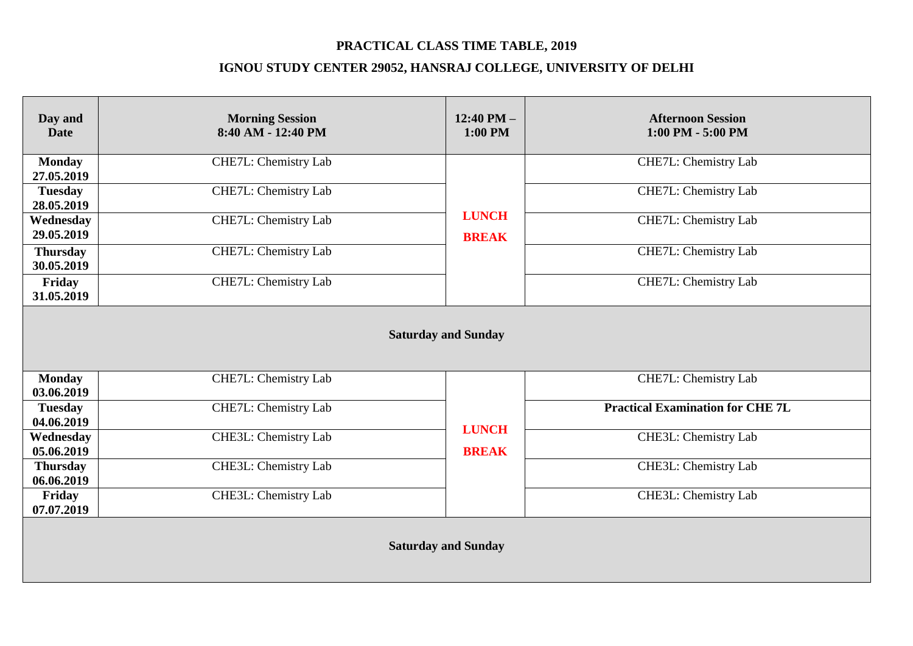| Day and<br><b>Date</b>        | <b>Morning Session</b><br>8:40 AM - 12:40 PM | $12:40$ PM $-$<br>$1:00$ PM  | <b>Afternoon Session</b><br>$1:00$ PM - 5:00 PM |  |
|-------------------------------|----------------------------------------------|------------------------------|-------------------------------------------------|--|
| <b>Monday</b><br>27.05.2019   | CHE7L: Chemistry Lab                         |                              | CHE7L: Chemistry Lab                            |  |
| <b>Tuesday</b><br>28.05.2019  | CHE7L: Chemistry Lab                         | <b>LUNCH</b><br><b>BREAK</b> | CHE7L: Chemistry Lab                            |  |
| Wednesday<br>29.05.2019       | CHE7L: Chemistry Lab                         |                              | CHE7L: Chemistry Lab                            |  |
| <b>Thursday</b><br>30.05.2019 | CHE7L: Chemistry Lab                         |                              | CHE7L: Chemistry Lab                            |  |
| Friday<br>31.05.2019          | CHE7L: Chemistry Lab                         |                              | CHE7L: Chemistry Lab                            |  |
| <b>Saturday and Sunday</b>    |                                              |                              |                                                 |  |
| <b>Monday</b><br>03.06.2019   | CHE7L: Chemistry Lab                         |                              | CHE7L: Chemistry Lab                            |  |
| <b>Tuesday</b><br>04.06.2019  | CHE7L: Chemistry Lab                         |                              | <b>Practical Examination for CHE 7L</b>         |  |
| Wednesday<br>05.06.2019       | CHE3L: Chemistry Lab                         | <b>LUNCH</b><br><b>BREAK</b> | CHE3L: Chemistry Lab                            |  |
| <b>Thursday</b><br>06.06.2019 | CHE3L: Chemistry Lab                         |                              | <b>CHE3L:</b> Chemistry Lab                     |  |
| Friday<br>07.07.2019          | CHE3L: Chemistry Lab                         |                              | CHE3L: Chemistry Lab                            |  |
| <b>Saturday and Sunday</b>    |                                              |                              |                                                 |  |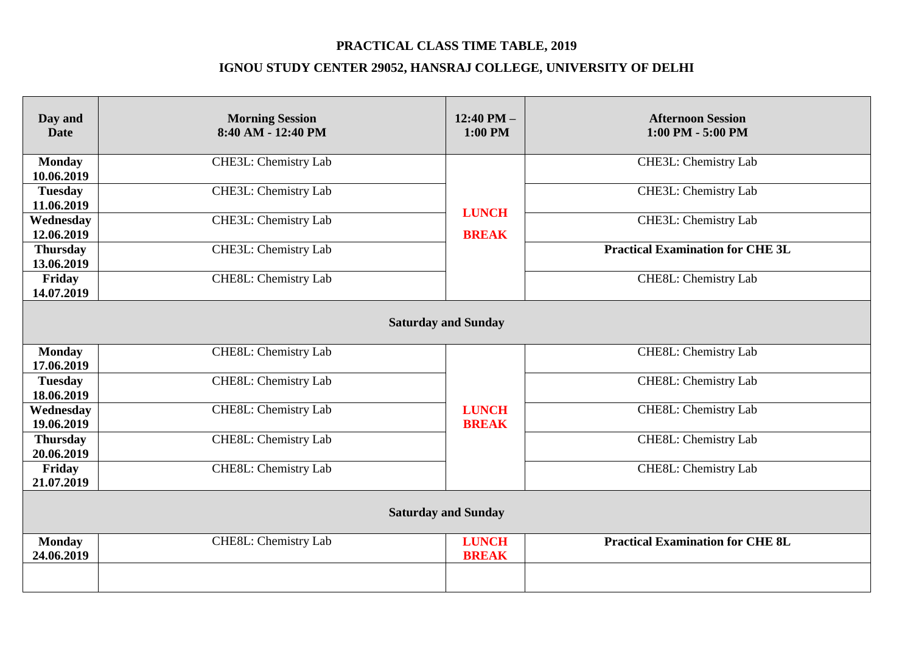| Day and<br><b>Date</b>        | <b>Morning Session</b><br>8:40 AM - 12:40 PM | $12:40$ PM $-$<br>$1:00$ PM  | <b>Afternoon Session</b><br>$1:00$ PM $-5:00$ PM |  |
|-------------------------------|----------------------------------------------|------------------------------|--------------------------------------------------|--|
| <b>Monday</b><br>10.06.2019   | CHE3L: Chemistry Lab                         |                              | CHE3L: Chemistry Lab                             |  |
| <b>Tuesday</b><br>11.06.2019  | CHE3L: Chemistry Lab                         | <b>LUNCH</b>                 | CHE3L: Chemistry Lab                             |  |
| Wednesday<br>12.06.2019       | CHE3L: Chemistry Lab                         | <b>BREAK</b>                 | CHE3L: Chemistry Lab                             |  |
| <b>Thursday</b><br>13.06.2019 | CHE3L: Chemistry Lab                         |                              | <b>Practical Examination for CHE 3L</b>          |  |
| Friday<br>14.07.2019          | CHE8L: Chemistry Lab                         |                              | CHE8L: Chemistry Lab                             |  |
| <b>Saturday and Sunday</b>    |                                              |                              |                                                  |  |
| <b>Monday</b><br>17.06.2019   | CHE8L: Chemistry Lab                         |                              | CHE8L: Chemistry Lab                             |  |
| <b>Tuesday</b><br>18.06.2019  | CHE8L: Chemistry Lab                         |                              | CHE8L: Chemistry Lab                             |  |
| Wednesday<br>19.06.2019       | CHE8L: Chemistry Lab                         | <b>LUNCH</b><br><b>BREAK</b> | <b>CHE8L:</b> Chemistry Lab                      |  |
| <b>Thursday</b><br>20.06.2019 | CHE8L: Chemistry Lab                         |                              | CHE8L: Chemistry Lab                             |  |
| Friday<br>21.07.2019          | CHE8L: Chemistry Lab                         |                              | CHE8L: Chemistry Lab                             |  |
| <b>Saturday and Sunday</b>    |                                              |                              |                                                  |  |
| <b>Monday</b><br>24.06.2019   | CHE8L: Chemistry Lab                         | <b>LUNCH</b><br><b>BREAK</b> | <b>Practical Examination for CHE 8L</b>          |  |
|                               |                                              |                              |                                                  |  |